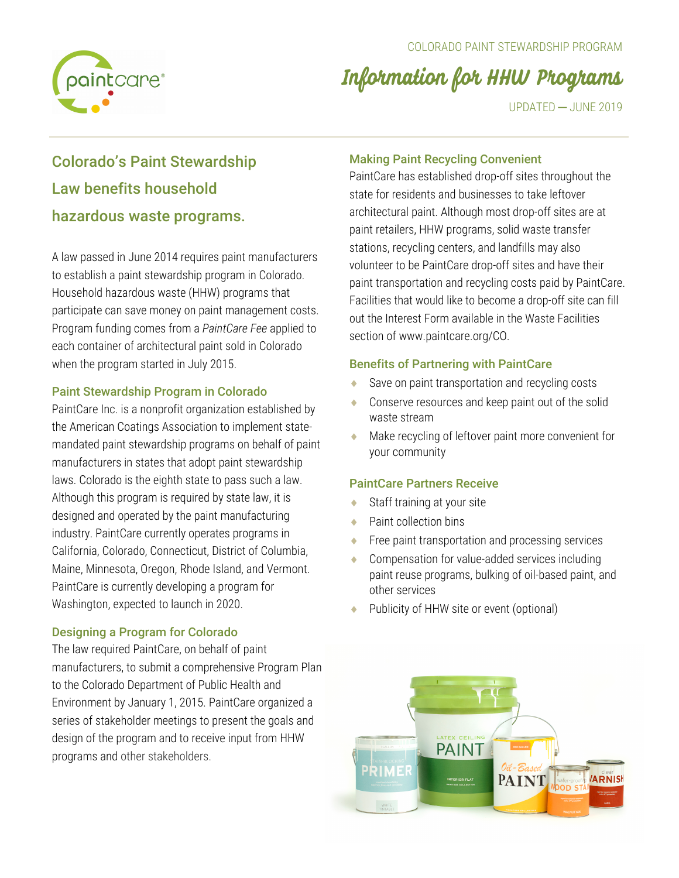

# Information for HHW Programs

UPDATED ─ JUNE 2019

# Colorado's Paint Stewardship Law benefits household hazardous waste programs.

A law passed in June 2014 requires paint manufacturers to establish a paint stewardship program in Colorado. Household hazardous waste (HHW) programs that participate can save money on paint management costs. Program funding comes from a *PaintCare Fee* applied to each container of architectural paint sold in Colorado when the program started in July 2015.

# Paint Stewardship Program in Colorado

PaintCare Inc. is a nonprofit organization established by the American Coatings Association to implement statemandated paint stewardship programs on behalf of paint manufacturers in states that adopt paint stewardship laws. Colorado is the eighth state to pass such a law. Although this program is required by state law, it is designed and operated by the paint manufacturing industry. PaintCare currently operates programs in California, Colorado, Connecticut, District of Columbia, Maine, Minnesota, Oregon, Rhode Island, and Vermont. PaintCare is currently developing a program for Washington, expected to launch in 2020.

# Designing a Program for Colorado

The law required PaintCare, on behalf of paint manufacturers, to submit a comprehensive Program Plan to the Colorado Department of Public Health and Environment by January 1, 2015. PaintCare organized a series of stakeholder meetings to present the goals and design of the program and to receive input from HHW programs and other stakeholders.

# Making Paint Recycling Convenient

PaintCare has established drop-off sites throughout the state for residents and businesses to take leftover architectural paint. Although most drop-off sites are at paint retailers, HHW programs, solid waste transfer stations, recycling centers, and landfills may also volunteer to be PaintCare drop-off sites and have their paint transportation and recycling costs paid by PaintCare. Facilities that would like to become a drop-off site can fill out the Interest Form available in the Waste Facilities section of www.paintcare.org/CO.

# Benefits of Partnering with PaintCare

- Save on paint transportation and recycling costs
- Conserve resources and keep paint out of the solid waste stream
- Make recycling of leftover paint more convenient for your community

# PaintCare Partners Receive

- $\triangle$  Staff training at your site
- $\bullet$  Paint collection bins
- Free paint transportation and processing services
- Compensation for value-added services including paint reuse programs, bulking of oil-based paint, and other services
- Publicity of HHW site or event (optional)